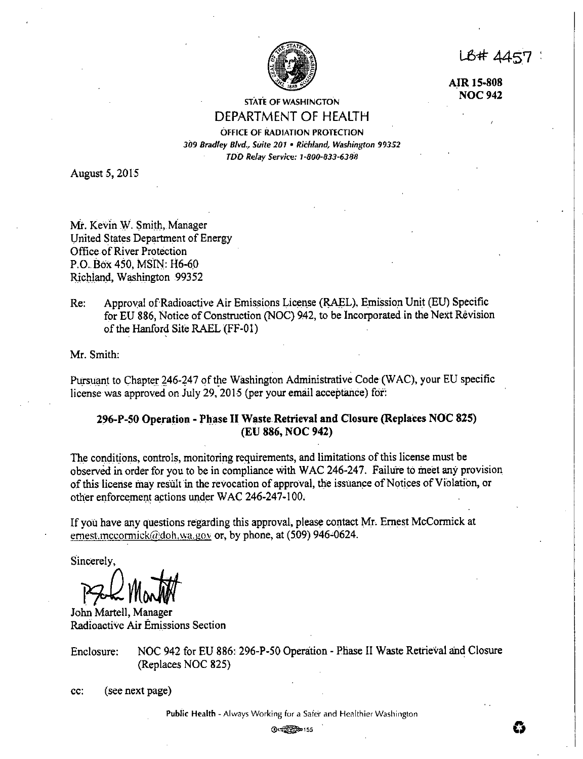LB# 4457

**A.IR 15-808 NOC942** 

STATE OF WASHINGTON DEPARTMENT OF HEALTH

# OFFICE OF RADIATION PROTECTION *309 Bradley Blvd., Suite 201* • *1/ii:hfand, Washington 99352*

*TDD Relay Service: 1·800-833-6388* 

August *5,* 2015

Mr. Kevin W. Smith, Manager United States Department of Energy Office of River Protection P.O. Box 450, MSIN: H6-60 Richland, Washington 99352

Re: Approval of Radioactive Air Emissions License (RAEL), Emission Unit (EU) Specific for EU 886, Notice of Construction (NOC) 942, to be Incorporated in the Next Revision of the Hanford Site RAEL (FF-01)

Mr. Smith:

Pursuant to Chapter 246-247 of the Washington Administrative Code (WAC), your EU specific license was approved on July 29, 2015 (per your email acceptance) for:

# **296-P-SO Ope\_ra~ion** - **Pl1.ase H Waste.Retrieval and Closure (Replaces NOC 825) (EU 886, NOC 942)**

The conditions, controls, monitoring requirements, and limitations of this license must be observed in order for you to be in compliance with WAC 246-247. Failure to ineet any provision of this license may result in the revocation of approval, the issuance of Notices of Violation, or other enforcement actions under WAC 246-247-100.

If you have any questions regarding this approval, please contact Mr, Ernest McCormick at emest.mccormick@doh.wa.gov or, by phone, at (509) 946-0624.

Sincerely,

Bel Month

Radioactive **Air** Emissions Section

Enclosure: NOC 942 for EU 886: 296-P-50 Operation - Phase II Waste Retrieval and Closure (Replaces NOC 825)

cc: (see next page)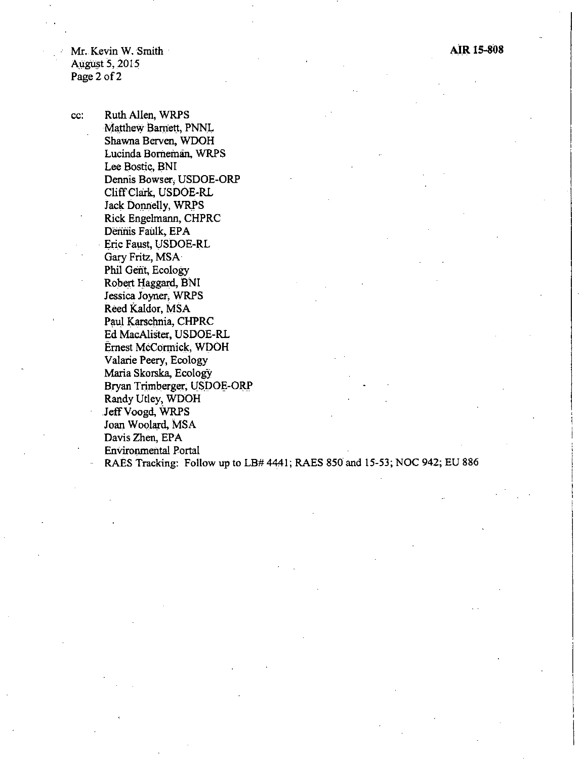Mr. Kevin W. Smith · August 5, 2015 Page 2 of 2

cc: RuthAllen, WRPS Matthew Barnett, PNN.L Shawna Berven, WDOH Lucinda Borneman, WRPS Lee Bostic, BNI Dennis Bowser, USDOE-ORP CliffClark, USDOE-RL Jack Donnelly, WRPS Rick Engelmann, CHPRC Dennis Faulk, EPA · Eric Faust, USDOE-RL Gary Fritz, MSA Phil Gent, Ecology Robert Haggard, BNI Jessica Joyner, WRPS Reed Kaldor, MSA Paul Karschnia, CHPRC Ed MacAlister, USDOE-RL Ernest McCormick, WDOH Valarie Peery, Ecology Maria Skorska, Ecology Bryan Trimberger, USDOE-ORP Randy Utley, WDOH JeffVoogd, WRPS Joan Woolard, MSA Davis Zhen, EPA Environmental Portal

RAES Tracking: Follow up to LB# 4441; RAES 850 and 15°53; NOC 942; EU 886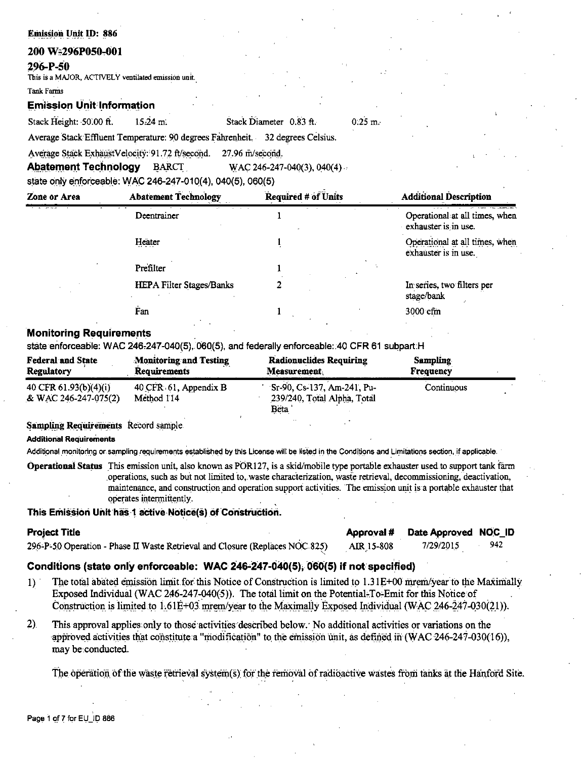# 200 W:296P050-001

# 296-P-50

This is a MAJOR, ACTIVELY ventilated emission unit.

Tank Farms

# **Emission Unit Information**

Stack Height: 50.00 ft.  $15.24 m$ Stack Diameter 0.83 ft.

Average Stack Effluent Temperature: 90 degrees Fahrenheit. 32 degrees Celsius.

Average Stack ExhaustVelocity: 91.72 ft/second. 27.96 m/second.

**Abatement Technology BARCT** WAC 246-247-040(3), 040(4)

state only enforceable: WAC 246-247-010(4), 040(5), 060(5)

| Zone or Area | <b>Abatement Technology</b>     | Required # of Units | <b>Additional Description</b>                          |
|--------------|---------------------------------|---------------------|--------------------------------------------------------|
|              | Deentrainer                     | $-$                 | Operational at all times, when<br>exhauster is in use. |
|              | Heater                          |                     | Operational at all times, when<br>exhauster is in use. |
|              | Prefilter                       |                     |                                                        |
|              | <b>HEPA Filter Stages/Banks</b> |                     | In series, two filters per<br>stage/bank               |
|              | Fan                             |                     | 3000 cfm                                               |

 $0.25 \; m.$ 

# **Monitoring Requirements**

state enforceable: WAC 246-247-040(5), 060(5), and federally enforceable: 40 CFR 61 subpart H

| <b>Federal and State</b>                        | <b>Monitoring and Testing</b>       | <b>Radionuclides Requiring</b>                                    | <b>Sampling</b>  |  |
|-------------------------------------------------|-------------------------------------|-------------------------------------------------------------------|------------------|--|
| Regulatory                                      | <b>Requirements</b>                 | Measurement.                                                      | <b>Frequency</b> |  |
| 40 CFR $61.93(b)(4)(i)$<br>& WAC 246-247-075(2) | 40 CFR 61, Appendix B<br>Method 114 | Sr-90, Cs-137, Am-241, Pu-<br>239/240, Total Alpha, Total<br>Beta | Continuous       |  |

# Sampling Requirements Record sample.

## **Additional Requirements**

Additional monitoring or sampling requirements established by this License will be listed in the Conditions and Limitations section, if applicable.

Operational Status This emission unit, also known as POR127, is a skid/mobile type portable exhauster used to support tank farm operations, such as but not limited to, waste characterization, waste retrieval, decommissioning, deactivation, maintenance, and construction and operation support activities. The emission unit is a portable exhauster that operates intermittently.

# This Emission Unit has 1 active Notice(s) of Construction.

| <b>Project Title</b> |                                                                              |            | Approval # Date Approved NOC_ID |      |
|----------------------|------------------------------------------------------------------------------|------------|---------------------------------|------|
|                      | 296-P-50 Operation - Phase II Waste Retrieval and Closure (Replaces NOC 825) | AIR 15-808 | 7/29/2015                       | 942. |

# Conditions (state only enforceable: WAC 246-247-040(5), 060(5) if not specified)

- $1)$ The total abated emission limit for this Notice of Construction is limited to 1.31E+00 mrem/year to the Maximally Exposed Individual (WAC 246-247-040(5)). The total limit on the Potential-To-Emit for this Notice of Construction is limited to  $1.61E+03$  mrem/year to the Maximally Exposed Individual (WAC 246-247-030(21)).
- $2)$ This approval applies only to those activities described below. No additional activities or variations on the approved activities that constitute a "modification" to the emission unit, as defined in (WAC 246-247-030(16)), may be conducted.

The operation of the waste retrieval system(s) for the removal of radioactive wastes from tanks at the Hanford Site.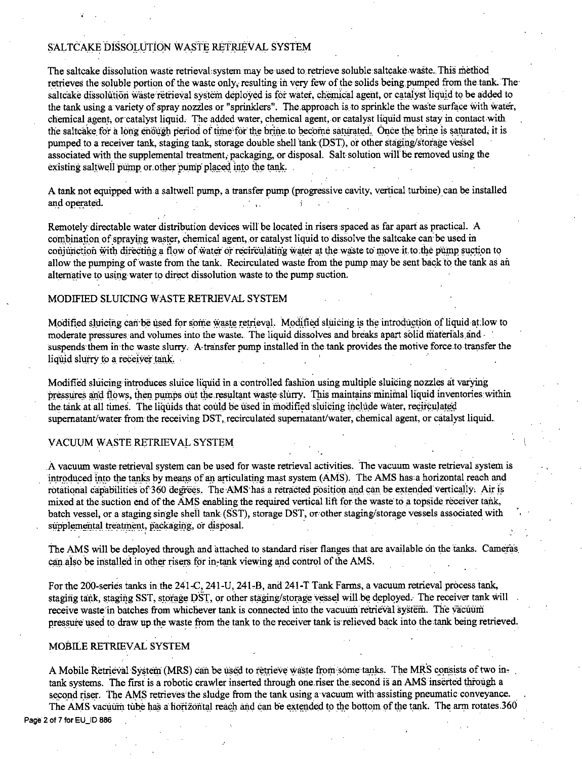# SALTCAKE DISSOLUTION WASTE RETRIEVAL SYSTEM

The saltcake dissolution waste retrieval system may be used to retrieve soluble saltcake waste. This method retrieves the soluble portion of the waste only, resulting in very few of the solids being pumped from the tank. The saltcake dissolution waste retrieval system deployed is for water, chemical agent, or catalyst liquid to be added to the tank using a variety of spray nozzles or "sprinklers". The approach is to sprinkle the waste surface with water, chemical agent, or catalyst liquid. The added water, chemical agent, or catalyst liquid must stay in contact with the saltcake for a long enough period of time for the brine to become saturated. Once the brine is saturated, it is pumped to a receiver tank, staging tank, storage double shell tank (DST), or other staging/storage vessel associated with the supplemental treatment, packaging, or disposal. Salt solution will be removed using the existing saltwell pump or other pump placed into the tank.

A tank not equipped with a saltwell pump, a transfer pump (progressive cavity, vertical turbine) can be installed and operated.

Remotely directable water distribution devices will be located in risers spaced as far apart as practical. A combination of spraying waster, chemical agent, or catalyst liquid to dissolve the saltcake can be used in conjunction with directing a flow of water or recirculating water at the waste to move it to the pump suction to allow the pumping of waste from the tank. Recirculated waste from the pump may be sent back to the tank as an alternative to using water to direct dissolution waste to the pump suction.

# MODIFIED SLUICING WASTE RETRIEVAL SYSTEM

Modified sluicing can be used for some waste retrieval. Modified sluicing is the introduction of liquid at low to moderate pressures and volumes into the waste. The liquid dissolves and breaks apart solid materials and suspends them in the waste slurry. A transfer pump installed in the tank provides the motive force to transfer the liquid slurry to a receiver tank.

Modified sluicing introduces sluice liquid in a controlled fashion using multiple sluicing nozzles at varying pressures and flows, then pumps out the resultant waste slurry. This maintains minimal liquid inventories within the tank at all times. The liquids that could be used in modified sluicing include water, recirculated supernatant/water from the receiving DST, recirculated supernatant/water, chemical agent, or catalyst liquid.

# VACUUM WASTE RETRIEVAL SYSTEM

A vacuum waste retrieval system can be used for waste retrieval activities. The vacuum waste retrieval system is introduced into the tanks by means of an articulating mast system (AMS). The AMS has a horizontal reach and rotational capabilities of 360 degrees. The AMS has a retracted position and can be extended vertically. Air is mixed at the suction end of the AMS enabling the required vertical lift for the waste to a topside receiver tank, batch vessel, or a staging single shell tank (SST), storage DST, or other staging/storage vessels associated with supplemental treatment, packaging, or disposal.

The AMS will be deployed through and attached to standard riser flanges that are available on the tanks. Cameras can also be installed in other risers for in-tank viewing and control of the AMS.

For the 200-series tanks in the 241-C, 241-U, 241-B, and 241-T Tank Farms, a vacuum retrieval process tank, staging tank, staging SST, storage DST, or other staging/storage vessel will be deployed. The receiver tank will receive waste in batches from whichever tank is connected into the vacuum retrieval system. The vacuum pressure used to draw up the waste from the tank to the receiver tank is relieved back into the tank being retrieved.

# MOBILE RETRIEVAL SYSTEM

A Mobile Retrieval System (MRS) can be used to retrieve waste from some tanks. The MRS consists of two intank systems. The first is a robotic crawler inserted through one riser the second is an AMS inserted through a second riser. The AMS retrieves the sludge from the tank using a vacuum with assisting pneumatic conveyance. The AMS vacuum tube has a horizontal reach and can be extended to the bottom of the tank. The arm rotates 360

Page 2 of 7 for EU\_ID 886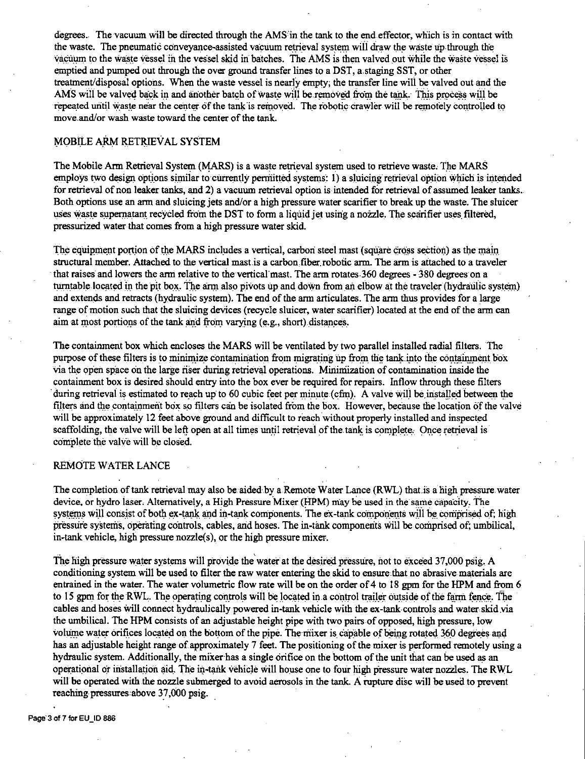degrees. The vacuum will be directed through the AMS in the tank to the end effector, which is in contact with the waste. The pneumatic conveyance-assisted vacuum retrieval system will draw the waste up through the vacuum to the waste vessel in the vessel skid in batches. The AMS is then valved out while the waste vessel is emptied and pwnped out through the over ground transfer lines to a DST, a.staging SST, or other treatment/disposal options. When the waste vessel is nearly empty; the transfer line will be valved out and the AMS will be valved back in and another batch of waste will be removed from the tank. This process will be repeated until waste near the center of the tank is removed. The robotic crawler will be remotely controlled to move.and/or wash waste toward the center of the tank.

# MOBILE ARM RETRIEVAL SYSTEM

The Mobile Arm Retrieval System (MARS) is a waste retrieval system used to retrieve waste. The MARS employs two design options similar to currently permitted systems: 1) a sluicing retrieval option which is intended for retrieval of non leaker tanks, and 2) a vacuum retrieval option is intended for retrieval of assumed leaker tanks. Both options use an arm and sluicing jets and/or a high pressure water scarifier to break up the waste. The sluicer uses waste supernatant recycled from the DST to form a liquid jet using a nozzle. The scarifier uses filtered, pressurized water that comes from a high pressure water skid

The equipment portion of the MARS includes a vertical, carbon steel mast (square cross section) as the main structural member. Attached to the vertical mastis a carbon.fiber.robotic arm. The arm is attached to a traveler that raises and lowers the arm relative to the vertical mast. The arm rotates 360 degrees - 380 degrees on a turntable located in the pit box. The arm also pivots up and down from an elbow at the traveler (hydraulic system) and extends and retracts (hydraulic system). The end of the arm articulates. The arm thus provides for a large range of motion such that the sluicing devices (recycle sluicer, water scarifier) located at the end of the arm can aim at most portions of the tank and from varying (e.g., short) distances.

The containment box which encloses the MARS will be ventilated by two parallel installed radial filters. The purpose of these filters is to minimize contamination from migrating up from the tank into the containment box via the open space on the large riser during retrieval operations. Minimization of contamination inside the containment box is desired should entry into the box ever be required for repairs. Inflow through these filters during retrieval is estimated to reach up to 60 cubic feet per minute (cfm). A valve will be installed between the filters and the containment box so filters can be isolated from the box. However, because the location of the valve will be approximately 12 feet above ground and difficult to reach without properly installed and inspected scaffolding, the valve will be left open at all times until retrieval of the tank is complete. Once retrieval is complete the valve will be closed.

## REMOTE WATER LANCE

The completion of tank retrieval may also be aided by a Remote Water Lance (RWL) that.is a high pressure water device, or hydro laser. Alternatively, a High Pressure Mixer (HPM) may be used in the same capacity. The systems will consist of both ex-tank and in-tank components. The ex-tank components will be comprised of; high pressure systems, operating controls, cables, and hoses. The in-tank components will be comprised of; umbilical, in-tank vehicle, high pressure nozzle(s), or the high pressure mixer.

The high pressure water systems will provide the water at the desired pressure, not to exceed 37,000 psig. A conditioning system will be used to filter the raw water entering the skid to ensure that no abrasive materials are entrained in the water. The water volumetric flow rate will be on the order of 4 to 18 gpm for the HPM and from 6 to 15 gpm for the RWL. The operating controls will be located in a control trailer outside of the farm fence. The cables and hoses will connect hydraulically powered in-tank vehicle with the ex-tank controls and water skid via the wnbilical. The HPM consists of an adjustable height pipe with two pairs of opposed, high pressure, low volume water orifices located on the bottom of the pipe. The mixer is capable of being rotated 360 degrees and has an adjustable height range of approximately 7 feet. The positioning of the mixer is performed remotely using a hydraulic system. Additionally, the mixer has a single orifice on the bottom of the unit that can be used as an operational or installation aid. The in-tank vehicle will house one to four high pressure water nozzles. The RWL will be operated with the nozzle submerged to avoid aerosols in the tank. A rupture disc will be used to prevent reaching pressures above 37,000 psig.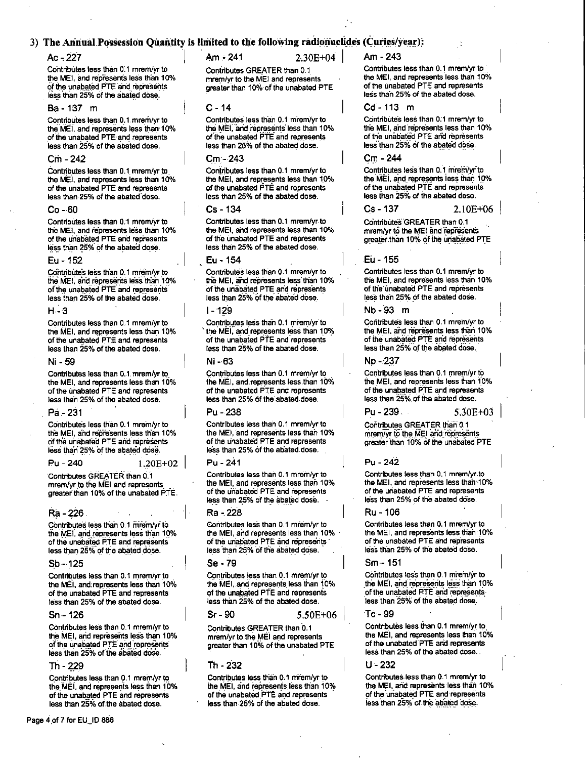# 3) The Annual Possession Quantity is limited to the following radionuclides (Curies/year):

# Ac - 227

Contributes less than 0.1 mrem/vr to the MEI, and represents less than 10% of the unabated PTE and represents less than 25% of the abated dose.

## **Ba** - 137 m

Contributes less than 0.1 mrem/yr to the MEI, and represents less than 10% of the unabated PTE and represents less than 25% of the abated dose.

## $Cm - 242$

Contributes less than 0.1 mrem/yr to the MEI, and represents less than 10% of the unabated PTE and represents less than 25% of the abated dose.

## $Co - 60$

Contributes less than 0.1 mrem/vr to the MEI, and represents less than 10% of the unabated PTE and represents less than 25% of the abated dose.

## Eu - 152

Contributes less than 0.1 mrem/yr to the MEI, and represents less than 10% of the unabated PTE and represents less than 25% of the abated dose.

### $H - 3$

Contributes less than 0.1 mrem/yr to the MEI, and represents less than 10% of the unabated PTE and represents less than 25% of the abated dose.

#### Ni - 59

Contributes less than 0.1 mrem/yr to the MEI, and represents less than 10% of the unabated PTE and represents less than 25% of the abated dose.

### Pa - 231

Contributes less than 0.1 mrem/yr to the MEI, and represents less than 10% of the unabated PTE and represents less than 25% of the abated dose.

#### Pu - 240

 $1.20E + 02$ 

Contributes GREATER than 0.1 mrem/vr to the MEI and represents greater than 10% of the unabated PTE.

## Ra - 226

Contributes less than 0.1 mrem/yr to the MEI, and represents less than 10% of the unabated PTE and represents less than 25% of the abated dose.

### $Sb - 125$

Contributes less than 0.1 mrem/yr to the MEI, and represents less than 10% of the unabated PTE and represents less than 25% of the abated dose.

### $Sn - 126$

Contributes less than 0.1 mrem/yr to the MEI, and represents less than 10% of the unabated PTE and represents less than 25% of the abated dose.

## Th - 229

Contributes less than 0.1 mrem/yr to the MEI, and represents less than 10% of the unabated PTE and represents less than 25% of the abated dose.

 $Am - 241$ 

 $2.30E + 04$ 

Contributes GREATER than 0.1 mrem/vr to the MEI and represents greater than 10% of the unabated PTE

### $C - 14$

Contributes less than 0.1 mrem/yr to the MEI, and represents less than 10% of the unabated PTE and represents less than 25% of the abated dose.

## Cm - 243

Contributes less than 0.1 mrem/yr to the MEI, and represents less than 10% of the unabated PTE and represents less than 25% of the abated dose.

## Cs - 134

Contributes less than 0.1 mrem/vr to the MEI, and represents less than 10% of the unabated PTE and represents less than 25% of the abated dose.

### Eu - 154

Contribute's less than 0.1 mrem/yr to the MEI, and represents less than 10% of the unabated PTE and represents less than 25% of the abated dose.

### $1 - 129$

Contributes less than 0.1 mrem/vr to the MEI, and represents less than 10% of the unabated PTE and represents less than 25% of the abated dose.

#### Ni - 63

Contributes less than 0.1 mrem/yr to the MEI, and represents less than 10% of the unabated PTE and represents less than 25% of the abated dose.

### $Pu - 238$

Contributes less than 0.1 mrem/vr to the MEI, and represents less than 10% of the unabated PTE and represents less than 25% of the abated dose.

#### Pu - 241

Contributes less than 0.1 mrem/vr to the MEI, and represents less than 10% of the unabated PTE and represents less than 25% of the abated dose.

### Ra - 228

Contributes less than 0.1 mrem/yr to the MEI, and represents less than 10% of the unabated PTE and represents less than 25% of the abated dose.

## Se - 79

Contributes less than 0.1 mrem/yr to the MEI, and represents less than 10% of the unabated PTE and represents less than 25% of the abated dose.

### Sr - 90

Contributes GREATER than 0.1 mrem/yr to the MEI and represents greater than 10% of the unabated PTE

### Th - 232

Contributes less than 0.1 mirem/yr to the MEI, and represents less than 10% of the unabated PTE and represents less than 25% of the abated dose.

### Am - 243

Contributes less than 0.1 mrem/yr to the MEI and represents less than 10% of the unabated PTE and represents less than 25% of the abated dose.

### $Cd - 113$  m

Contributes less than 0.1 mrem/yr to the MEI, and represents less than 10% of the unabated PTE and represents less than 25% of the abated dose.

## Cm - 244

Contributes less than 0.1 mrem/yr to the MEI, and represents less than 10% of the unabated PTE and represents less than 25% of the abated dose.

 $Cs - 137$ 2.10E+06

Contributes GREATER than 0.1 mrem/yr to the MEI and represents greater than 10% of the unabated PTE

## Eu - 155

Contributes less than 0.1 mrem/yr to the MEI, and represents less than 10% of the unabated PTE and represents less than 25% of the abated dose.

### Nb - 93 m

Contributes less than 0.1 mrem/yr to the MEI, and represents less than 10% of the unabated PTE and represents less than 25% of the abated dose.

### No - 237

Contributes less than 0.1 mrem/vr to the MEI, and represents less than 10% of the unabated PTE and represents less than 25% of the abated dose.

Pu - 239.

5.30E+03

Contributes GREATER than 0.1 mrem/vr to the MEI and represents greater than 10% of the unabated PTE

### $Pu - 242$

Contributes less than 0.1 mrem/yr to the MEI, and represents less than 10% of the unabated PTE and represents less than 25% of the abated dose.

### Ru - 106

Contributes less than 0.1 mrem/yr to the MEI, and represents less than 10% of the unabated PTE and represents less than 25% of the abated dose.

### $Sm - 151$

Contributes less than 0.1 mrem/yr to the MEI, and represents less than 10% of the unabated PTE and represents. less than 25% of the abated dose.

### Te⊶ 00

Contributes less than 0.1 mrem/yr to the MEI, and represents less than 10% of the unabated PTE and represents less than 25% of the abated dose.

#### U - 232

Contributes less than 0.1 mrem/yr to the MEI, and represents less than 10% of the unabated PTE and represents less than 25% of the abated dose.

5.50E+06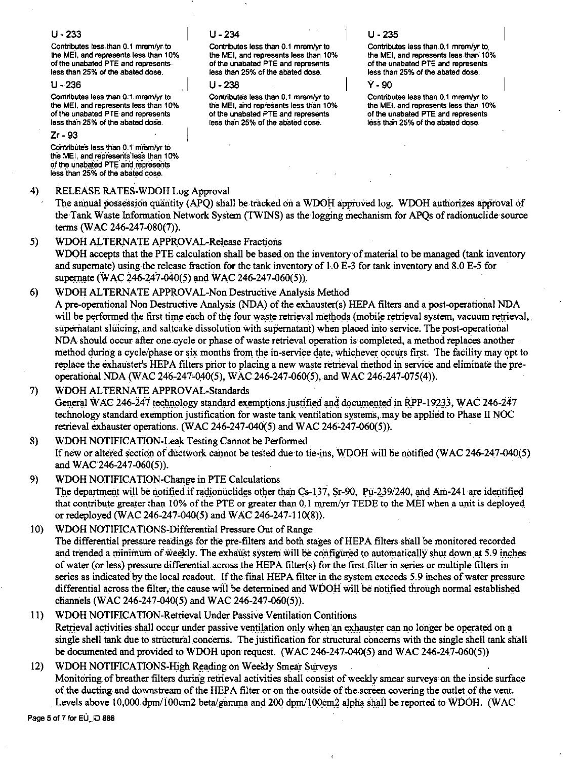# $U - 233$

Contributes less than 0.1 mrem/vr to the MEI, and represents less than 10% of the unabated PTE and represents. less than 25% of the abated dose.

## $11 - 236$

Contributes less than 0.1 mrem/yr to the MEI, and represents less than 10% of the unabated PTE and represents less than 25% of the abated dose.

# $Zr - 93$

Contributes less than 0.1 miem/yr to the MEI, and represents less than 10% of the unabated PTE and represents less than 25% of the abated dose.

#### $4)$ RELEASE RATES-WDOH Log Approval

The annual possession quantity (APQ) shall be tracked on a WDOH approved log. WDOH authorizes approval of the Tank Waste Information Network System (TWINS) as the logging mechanism for APOs of radionuclide source terms (WAC 246-247-080(7)).

 $5)$ **WDOH ALTERNATE APPROVAL-Release Fractions** WDOH accepts that the PTE calculation shall be based on the inventory of material to be managed (tank inventory and supernate) using the release fraction for the tank inventory of 1.0 E-3 for tank inventory and 8.0 E-5 for supernate (WAC 246-247-040(5) and WAC 246-247-060(5)).

#### WDOH ALTERNATE APPROVAL-Non Destructive Analysis Method  $6)$

A pre-operational Non Destructive Analysis (NDA) of the exhauster(s) HEPA filters and a post-operational NDA will be performed the first time each of the four waste retrieval methods (mobile retrieval system, vacuum retrieval, supernatant sluicing, and saltcake dissolution with supernatant) when placed into service. The post-operational NDA should occur after one cycle or phase of waste retrieval operation is completed, a method replaces another method during a cycle/phase or six months from the in-service date, whichever occurs first. The facility may opt to replace the exhauster's HEPA filters prior to placing a new waste retrieval method in service and eliminate the preoperational NDA (WAC 246-247-040(5), WAC 246-247-060(5), and WAC 246-247-075(4)).

WDOH ALTERNATE APPROVAL-Standards 7) General WAC 246-247 technology standard exemptions justified and documented in RPP-19233, WAC 246-247 technology standard exemption justification for waste tank ventilation systems, may be applied to Phase II NOC retrieval exhauster operations. (WAC 246-247-040(5) and WAC 246-247-060(5)).

8) WDOH NOTIFICATION-Leak Testing Cannot be Performed If new or altered section of ductwork cannot be tested due to tie-ins, WDOH will be notified (WAC 246-247-040(5) and WAC 246-247-060(5)).

- 9) WDOH NOTIFICATION-Change in PTE Calculations The department will be notified if radionuclides other than Cs-137, Sr-90,  $\overline{P}u$ -239/240, and Am-241 are identified that contribute greater than 10% of the PTE or greater than 0.1 mrem/yr TEDE to the MEI when a unit is deployed or redeployed (WAC 246-247-040(5) and WAC 246-247-110(8)).
- $10<sub>1</sub>$ WDOH NOTIFICATIONS-Differential Pressure Out of Range The differential pressure readings for the pre-filters and both stages of HEPA filters shall be monitored recorded and trended a minimum of weekly. The exhaust system will be configured to automatically shut down at 5.9 inches of water (or less) pressure differential across the HEPA filter(s) for the first filter in series or multiple filters in series as indicated by the local readout. If the final HEPA filter in the system exceeds 5.9 inches of water pressure differential across the filter, the cause will be determined and WDOH will be notified through normal established channels (WAC 246-247-040(5) and WAC 246-247-060(5)).
- WDOH NOTIFICATION-Retrieval Under Passive Ventilation Contitions  $11$ Retrieval activities shall occur under passive ventilation only when an exhauster can no longer be operated on a single shell tank due to structural concerns. The justification for structural concerns with the single shell tank shall be documented and provided to WDOH upon request. (WAC 246-247-040(5) and WAC 246-247-060(5))

## $12)$ WDOH NOTIFICATIONS-High Reading on Weekly Smear Surveys Monitoring of breather filters during retrieval activities shall consist of weekly smear surveys on the inside surface of the ducting and downstream of the HEPA filter or on the outside of the screen covering the outlet of the vent. Levels above 10,000 dpm/100cm2 beta/gamma and 200 dpm/100cm2 alpha shall be reported to WDOH. (WAC

Page 5 of 7 for EU\_ID 886

# $U - 234$

Contributes less than 0.1 mrem/vr to the MEI, and represents less than 10% of the unabated PTE and represents less than 25% of the abated dose.

## $11 - 238$

Contributes less than 0.1 mrem/yr to the MEI, and represents less than 10% of the unabated PTE and represents less than 25% of the abated dose.

# $U - 235$

Contributes less than 0.1 mrem/vr to the MEI, and represents less than 10% of the unabated PTE and represents less than 25% of the abated dose.

## $\mathsf{v}$  . on

Contributes less than 0.1 mrem/yr to the MEI, and represents less than 10% of the unabated PTE and represents less than 25% of the abated dose.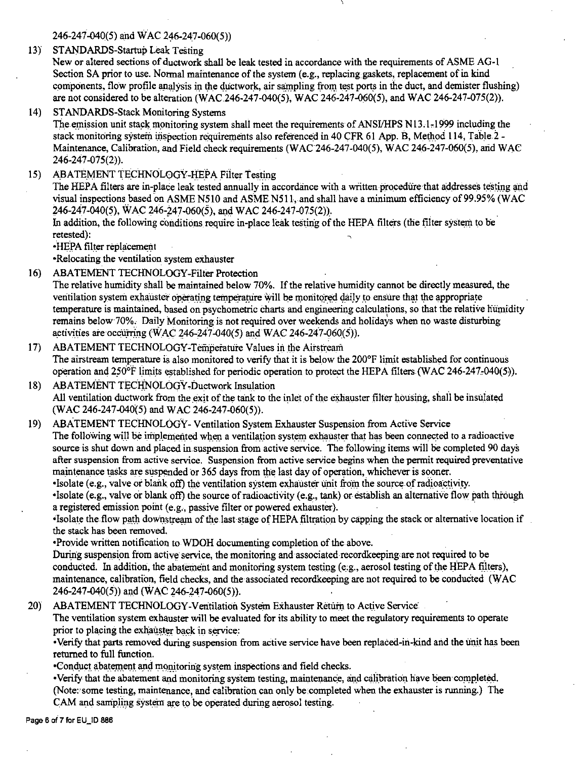246-247-040{5) and WAC 246-247-060(5))

13) STANDARDS-Startup Leak Testing

New or altered sections of ductwork shall be leak tested in accordance with the requirements of ASME AG-I Section SA prior to use. Normal maintenance of the system (e.g., replacing gaskets, replacement of in kind components, flow profile anglysis in the ductwork, air sampling from test ports in the duct, and demister flushing) are not considered to be alteration (WAC.246-247-040(5), WAC.246-247-060(5), and WAC.246-247-075(2)).

14) STANDARDS-Stack Monitoring Systems

The emission unit stack monitoring system shall meet the requirements of ANSI/HPS N13.1,1999 including the stack monitoring system inspection requirements also referenced in 40 CFR 61 App. B, Method 114, Table 2 -Maintenance, Calibration, and Field check requirements (WAC 246-247-040(5), WAC 246-247-060(5), and WAC 246-247-075(2)).

15) ABA TEMENT TECHNOLOGY-HEPA Filter Testing

The HEPA filters are in-place leak tested annually in accordance with a written procedure that addresses testing and visual inspections based on ASME N510 and ASME N511, and shall have a minimum efficiency of 99.95% (WAC 246-247-040(5), WAC 246-247-060(5), and WAC 246-247-075(2)).

In addition, the following conditions require in-place leak testing of the HEPA filters (the filter system to be retested):

•HEPA filter replacement

•Relocating the ventilation system exhauster

- 16) ABATEMENT TECHNOLOGY-Filter Protection The relative humidity shall be maintained below 70%. If the relative humidity cannot be directly measured, the ventilation system exhauster operating temperature will be monitored daily to ensure that the appropriate temperature is maintained, based on psychometric charts and engineering calculations, so that the relative humidity remains below 70%. Daily Monitoring is not required over weekends and holidays when no waste disturbing activities are occurring (WAC 246-247-040(5) and WAC 246-247-060(5)).
- 17) ABATEMENT TECHNOLOGY-Temperature Values in the Airstream The airstream temperature is also monitored to verify that it is below the 200°F limit established for continuous operation and  $250^{\circ}$ F. limits established for periodic operation to protect the HEPA filters. (WAC 246-247,040(5)).
- 18) ABATEMENT TECHNOLOGY-Ductwork Insulation All ventilation ductwork from the exit of the tank to the inlet of the exhauster filter housing, shall be insulated (WAC 246-247-040(5) and WAC 246-247-060(5)).
- 19) ABATEMENT TECHNOLOGY- Ventilation System Exhauster Suspension from Active Service The following will be implemented when a ventilation system exhauster that has been connected to a radioactive source is shut down and placed in.suspension from active service. The following items will be completed 90 days after suspension from active service. Suspension from active service begins when the permit required preventative maintenance tasks are suspended or 365 days from the last day of operation, whichever is sooner.

•Isolate (e.g., valve or blank off) the ventilation system exhauster unit from the source of radioactivity. • Isolate (e.g., valve or blank off) the source of radioactivity (e.g., tank) or establish an alternative flow path through a registered emission point (e.g., passive filter or powered exhauster).

Isolate the flow path downstream of the last stage of HEPA filtration by capping the stack or alternative location if the stack has been removed.

• Provide written notification to WDOH documenting completion of the above.

During suspension from active service, the monitoring and associated recordkeeping are not required to be conducted. In addition, the abatement and monitoring system testing  $(e.g., aerosol testing of the HERA filters)$ , maintenance, calibration, field checks, and the associated recordkeeping are not required to be conducted (WAC 246-247-040(5)) and (WAC 246-247-060(5)).

20) ABATEMENT TECHNOLOGY-Ventilation System Exhauster Return to Active Service

The ventilation system exhauster will be evaluated for its ability to meet the regulatory requirements to operate prior to placing the exhauster back in service:

• Verify that parts removed during suspension from active service have been replaced-in-kind and the unit has been returned to full function.

•Conduct abatement and monitoring system inspections and field checks.

• Verify that the abatement and monitoring system testing, maintenance, and calibration have been completed. (Note:'some testing, maintenance, and calibration can only be:completed when the exhauster is running.) The CAM and sampling system are to be operated during aerosol testing.

Page 6 of 7 for EU\_ID **886**